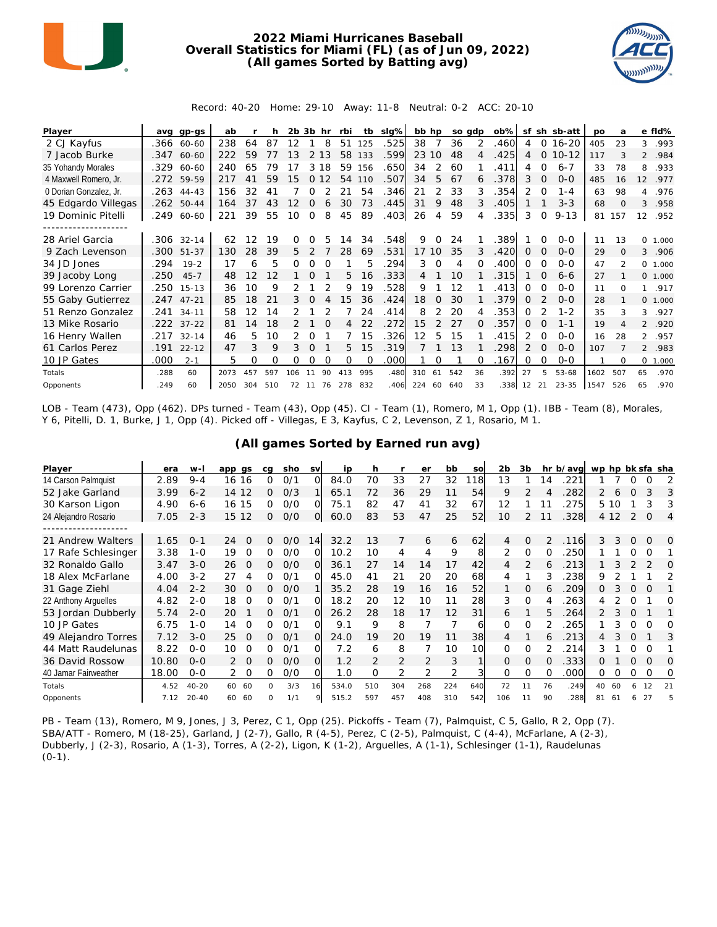

## **2022 Miami Hurricanes Baseball Overall Statistics for Miami (FL) (as of Jun 09, 2022) (All games Sorted by Batting avg)**



Record: 40-20 Home: 29-10 Away: 11-8 Neutral: 0-2 ACC: 20-10

| Player                 | ava  | $qp-gs$      | ab   |     |     | $2b$ $3b$ |          | hr       | rbi      | tb       | slg% |     | bb hp         |     | so adp   | $ob\%$ | sf            |          | sh sb-att | <b>DO</b> | a              |                   | e fld%   |
|------------------------|------|--------------|------|-----|-----|-----------|----------|----------|----------|----------|------|-----|---------------|-----|----------|--------|---------------|----------|-----------|-----------|----------------|-------------------|----------|
| 2 CJ Kayfus            |      | .366 60-60   | 238  | 64  | 87  | 12        |          | 8        | 51       | 125      | .525 | 38  | 7             | 36  | 2        | .460   | 4             | 0        | $16 - 20$ | 405       | 23             | 3                 | .993     |
| 7 Jacob Burke          |      | .347 60-60   | 222  | 59  |     |           |          | 13       | 58       | 133      | .599 | 23  | 10            | 48  | 4        | .425   | 4             | $\Omega$ | $10 - 12$ | 117       |                |                   | 2 .984   |
| 35 Yohandy Morales     | .329 | 60-60        | 240  | 65  | 79  |           | 3        | 18       | 59       | 156      | .650 | 34  | 2             | 60  |          | .411   | 4             | $\Omega$ | $6 - 7$   | 33        | 78             | 8                 | .933     |
| 4 Maxwell Romero, Jr.  |      | .272 59-59   | 217  | 41  | 59  | 15        | $\Omega$ | 12       | 54       | 110      | .507 | 34  | 5             | 67  | 6        | .378   | 3             | 0        | $0 - 0$   | 485       | 16             | $12 \overline{ }$ | .977     |
| 0 Dorian Gonzalez, Jr. |      | $.263$ 44-43 | 156  | 32  | 41  |           |          |          | 21       | 54       | .346 | 21  | 2             | 33  | 3        | .354   | $\mathcal{P}$ | 0        | $1 - 4$   | 63        | 98             | 4                 | .976     |
| 45 Edgardo Villegas    |      | .262 50-44   | 164  | 37  | 43  | 12        | O        |          | 30       | 73       | .445 | 31  | 9             | 48  | 3        | .405   |               |          | $3 - 3$   | 68        | $\Omega$       | 3                 | .958     |
| 19 Dominic Pitelli     | .249 | 60-60        | 221  | 39  | 55  | 10        | 0        | 8        | 45       | 89       | .403 | 26  | 4             | 59  | 4        | .335   | 3             | 0        | $9 - 13$  | 81        | 157            | 12                | .952     |
|                        |      |              |      |     |     |           |          |          |          |          |      |     |               |     |          |        |               |          |           |           |                |                   |          |
| 28 Ariel Garcia        | .306 | $32 - 14$    | 62   | 12  | 19  | O         |          |          | 14       | 34       | .548 | 9   | $\Omega$      | 24  |          | 389    |               | $\Omega$ | $0 - 0$   | 11        | 13             | 0                 | 1.000    |
| 9 Zach Levenson        | .300 | 51-37        | 130  | 28  | 39  | 5.        | 2        |          | 28       | 69       | .531 |     | 17 10         | 35  | 3        | .420   | 0             | 0        | $0 - 0$   | 29        | $\Omega$       | 3                 | .906     |
| 34 JD Jones            | .294 | $19 - 2$     | 17   | 6   | 5   | Ω         | Ω        |          |          | 5        | .294 | 3   | $\Omega$      | 4   | $\Omega$ | .400   | 0             | $\Omega$ | $0 - 0$   | 47        | $\mathfrak{p}$ |                   | 0 1.000  |
| 39 Jacoby Long         | .250 | $45 - 7$     | 48   | 12  | 12  |           | $\Omega$ |          | 5.       | 16       | .333 | 4   |               | 10  |          | .315   |               | $\Omega$ | $6 - 6$   | 27        |                |                   | 0, 1,000 |
| 99 Lorenzo Carrier     | .250 | $15 - 13$    | 36   | 10  | 9   |           |          |          | 9        | 19       | .528 | 9   |               | 12  |          | .413   | 0             | $\Omega$ | $0 - 0$   | 11        | $\Omega$       | $\mathbf{1}$      | .917     |
| 55 Gaby Gutierrez      | .247 | $47 - 21$    | 85   | 18  | 21  | 3         |          |          | 15       | 36       | .424 | 18  | $\Omega$      | 30  |          | .379   | 0             |          | $0 - 0$   | 28        |                |                   | 0, 1,000 |
| 51 Renzo Gonzalez      | .241 | $34 - 11$    | 58   | 12  | 14  |           |          |          |          | 24       | .414 | 8   |               | 20  | 4        | 353    | 0             |          | $1 - 2$   | 35        | 3              | 3                 | .927     |
| 13 Mike Rosario        |      | $.222$ 37-22 | 81   | 14  | 18  |           |          | $\Omega$ | 4        | 22       | .272 | 15  | $\mathcal{P}$ | 27  | $\Omega$ | .357   | 0             | $\Omega$ | $1 - 1$   | 19        | 4              |                   | 2 .920   |
| 16 Henry Wallen        | .217 | $32 - 14$    | 46   | 5   | 10  |           |          |          |          | 15       | .326 | 12  | 5             | 15  |          | .415   | 2             | $\Omega$ | $0 - 0$   | 16        | 28             | $\overline{2}$    | .957     |
| 61 Carlos Perez        | .191 | $22 - 12$    | 47   | 3   | 9   | 3         |          |          | 5        | 15       | .319 |     |               | 1.3 |          | 298    |               | $\Omega$ | $0 - 0$   | 107       |                | $\overline{2}$    | .983     |
| 10 JP Gates            | .000 | $2 - 1$      | 5    | 0   | Ω   | Ω         | 0        | O        | $\Omega$ | $\Omega$ | .000 |     | 0             |     | O        | .167   | 0             | $\Omega$ | $0 - 0$   |           | $\Omega$       | $\circ$           | 1.000    |
| Totals                 | .288 | 60           | 2073 | 457 | 597 | 106       |          | 90       | 413      | 995      | .480 | 310 | 61            | 542 | 36       | .392   | 27            | 5        | $53 - 68$ | 1602      | 507            | 65                | .970     |
| Opponents              | .249 | 60           | 2050 | 304 | 510 | 72        | 11       | 76       | 278      | 832      | .406 | 224 | 60            | 640 | 33       | .338   | 12            | 21       | $23 - 35$ | 1547      | 526            | 65                | .970     |

LOB - Team (473), Opp (462). DPs turned - Team (43), Opp (45). CI - Team (1), Romero, M 1, Opp (1). IBB - Team (8), Morales, Y 6, Pitelli, D. 1, Burke, J 1, Opp (4). Picked off - Villegas, E 3, Kayfus, C 2, Levenson, Z 1, Rosario, M 1.

| Player               | era   | $W-I$     | app gs         | cq           | sho | <b>SV</b> | ip    | h              |                | er             | bb  | SO  | 2 <sub>b</sub> | 3b             |          | hr b/avg | wp hp bk sfa sha |       |               |          |                |
|----------------------|-------|-----------|----------------|--------------|-----|-----------|-------|----------------|----------------|----------------|-----|-----|----------------|----------------|----------|----------|------------------|-------|---------------|----------|----------------|
| 14 Carson Palmquist  | 2.89  | $9 - 4$   | 16 16          | 0            | 0/1 | Ω         | 84.0  | 70             | 33             | 27             | 32  | 18  | 13             |                | 14       | .221     |                  |       |               | Ω        | 2              |
| 52 Jake Garland      | 3.99  | $6 - 2$   | 12<br>14       | 0            | O/3 |           | 65.1  | 72             | 36             | 29             | 11  | 54  | 9              | $\mathcal{P}$  |          | 282      | $\overline{2}$   |       |               |          | 3              |
| 30 Karson Ligon      | 4.90  | 6-6       | 16 15          | 0            | O/O | Ω         | 75.1  | 82             | 47             | 41             | 32  | 67  | 12             |                |          | 275      |                  | 5 10  |               | 3        | 3              |
| 24 Alejandro Rosario | 7.05  | $2 - 3$   | 12<br>15       | 0            | O/O | O.        | 60.0  | 83             | 53             | 47             | 25  | 52  | 10             | $\overline{2}$ |          | .328     |                  | 4 1 2 | $\mathcal{L}$ | $\Omega$ | $\overline{4}$ |
|                      |       |           |                |              |     |           |       |                |                |                |     |     |                |                |          |          |                  |       |               |          |                |
| 21 Andrew Walters    | 1.65  | $0 - 1$   | 24<br>$\Omega$ | 0            | O/O | 14        | 32.2  | 13             | 7              | 6              | 6   | 62  | 4              | $\Omega$       |          | .116     | 3                | 3     | 0             | $\Omega$ | $\Omega$       |
| 17 Rafe Schlesinger  | 3.38  | $1 - 0$   | 19<br>O        | 0            | O/O |           | 10.2  | 10             | 4              | 4              | 9   | 8   | 2              | $\Omega$       | Ω        | 250      |                  |       |               | O        |                |
| 32 Ronaldo Gallo     | 3.47  | $3 - 0$   | 26<br>O        | 0            | O/O | $\Omega$  | 36.1  | 27             | 14             | 14             | 17  | 42  | 4              | 2              | 6        | 213      |                  |       |               |          | O              |
| 18 Alex McFarlane    | 4.00  | $3 - 2$   | 27<br>4        | 0            | O/1 | O         | 45.0  | 41             | 21             | 20             | 20  | 68  | 4              |                |          | 238      | 9                |       |               |          |                |
| 31 Gage Ziehl        | 4.04  | $2 - 2$   | 30<br>$\Omega$ | 0            | O/O |           | 35.2  | 28             | 19             | 16             | 16  | 52  |                | $\Omega$       | 6        | 209      | 0                |       | $\Omega$      | $\Omega$ |                |
| 22 Anthony Arguelles | 4.82  | $2 - 0$   | 18<br>O        | 0            | 0/1 | Ω         | 18.2  | 20             | 12             | 10             | 11  | 28  | 3              | $\Omega$       | 4        | 263      | 4                |       | ∩             |          | Ω              |
| 53 Jordan Dubberly   | 5.74  | $2 - 0$   | 20             | 0            | 0/1 | $\Omega$  | 26.2  | 28             | 18             | 17             | 12  | 31  | 6              |                | 5.       | 264      | $\mathcal{P}$    | 3     | $\Omega$      |          |                |
| 10 JP Gates          | 6.75  | $1 - 0$   | 14<br>O        | 0            | O/1 | Ω         | 9.1   | 9              | 8              |                |     | 61  | $\Omega$       | $\Omega$       |          | 265      |                  |       |               | Ω        | Ω              |
| 49 Alejandro Torres  | 7.12  | $3 - 0$   | 25<br>$\Omega$ | 0            | 0/1 | $\Omega$  | 24.0  | 19             | 20             | 19             | 11  | 38  | 4              |                | 6        | 213      | 4                |       | $\Omega$      |          | 3              |
| 44 Matt Raudelunas   | 8.22  | $O - O$   | 10<br>$\Omega$ | O            | 0/2 | O         | 7.2   | 6              | 8              | 7              | 10  | 10  | $\Omega$       | $\Omega$       |          | 214      | 3                |       | $\Omega$      | $\Omega$ |                |
| 36 David Rossow      | 10.80 | $O - O$   | $\Omega$       | 0            | O/O | $\Omega$  | 1.2   | $\mathfrak{D}$ | $\overline{2}$ | $\mathfrak{D}$ | 3   |     | $\Omega$       | $\Omega$       |          | 333      | 0                |       | $\Omega$      | $\Omega$ | $\Omega$       |
| 40 Jamar Fairweather | 18.00 | $0 - 0$   | $\Omega$<br>2  | 0            | O/O | Ω         | 1.0   | $\Omega$       | 2              | 2              | 2   | 3   | $\Omega$       | $\Omega$       | $\Omega$ | .000     | 0                |       | 0             | $\Omega$ | 0              |
| Totals               | 4.52  | $40 - 20$ | 60<br>60       | <sup>n</sup> | 3/3 | 16        | 534.0 | 510            | 304            | 268            | 224 | 640 | 72             | 11             | 76       | .249     | 40               | 60    | 6             | 12       | 21             |
| Opponents            | 7.12  | $20 - 40$ | 60<br>60       | 0            | 1/1 |           | 515.2 | 597            | 457            | 408            | 310 | 542 | 106            | 11             | 90       | 288      | 81               | 61    | 6             | 27       | 5              |

**(All games Sorted by Earned run avg)**

PB - Team (13), Romero, M 9, Jones, J 3, Perez, C 1, Opp (25). Pickoffs - Team (7), Palmquist, C 5, Gallo, R 2, Opp (7). SBA/ATT - Romero, M (18-25), Garland, J (2-7), Gallo, R (4-5), Perez, C (2-5), Palmquist, C (4-4), McFarlane, A (2-3), Dubberly, J (2-3), Rosario, A (1-3), Torres, A (2-2), Ligon, K (1-2), Arguelles, A (1-1), Schlesinger (1-1), Raudelunas  $(0-1)$ .